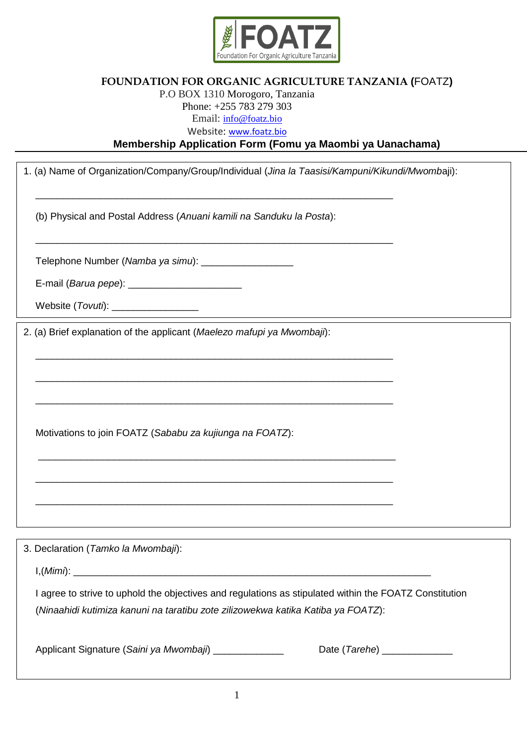

## **FOUNDATION FOR ORGANIC AGRICULTURE TANZANIA (**FOATZ**)**

## P.O BOX 1310 Morogoro, Tanzania Phone: +255 783 279 303 Email: [info@foatz.bio](mailto:info@foatz.bio)

Website: [www.foatz.bio](http://www.foatz.bio/)

**Membership Application Form (Fomu ya Maombi ya Uanachama)** 

| 1. (a) Name of Organization/Company/Group/Individual (Jina la Taasisi/Kampuni/Kikundi/Mwombaji): |                                                                                                        |  |  |  |
|--------------------------------------------------------------------------------------------------|--------------------------------------------------------------------------------------------------------|--|--|--|
|                                                                                                  | (b) Physical and Postal Address (Anuani kamili na Sanduku la Posta):                                   |  |  |  |
|                                                                                                  | Telephone Number (Namba ya simu): ____________________                                                 |  |  |  |
|                                                                                                  | E-mail (Barua pepe): _________________________                                                         |  |  |  |
|                                                                                                  | Website (Tovuti): __________________                                                                   |  |  |  |
| 2. (a) Brief explanation of the applicant (Maelezo mafupi ya Mwombaji):                          |                                                                                                        |  |  |  |
|                                                                                                  |                                                                                                        |  |  |  |
|                                                                                                  |                                                                                                        |  |  |  |
|                                                                                                  |                                                                                                        |  |  |  |
|                                                                                                  | Motivations to join FOATZ (Sababu za kujiunga na FOATZ):                                               |  |  |  |
|                                                                                                  |                                                                                                        |  |  |  |
|                                                                                                  |                                                                                                        |  |  |  |
|                                                                                                  |                                                                                                        |  |  |  |
| 3. Declaration (Tamko la Mwombaji):                                                              |                                                                                                        |  |  |  |
|                                                                                                  |                                                                                                        |  |  |  |
|                                                                                                  | I agree to strive to uphold the objectives and regulations as stipulated within the FOATZ Constitution |  |  |  |
|                                                                                                  | (Ninaahidi kutimiza kanuni na taratibu zote zilizowekwa katika Katiba ya FOATZ):                       |  |  |  |
|                                                                                                  | Applicant Signature (Saini ya Mwombaji) _____________<br>Date (Tarehe) ______________                  |  |  |  |